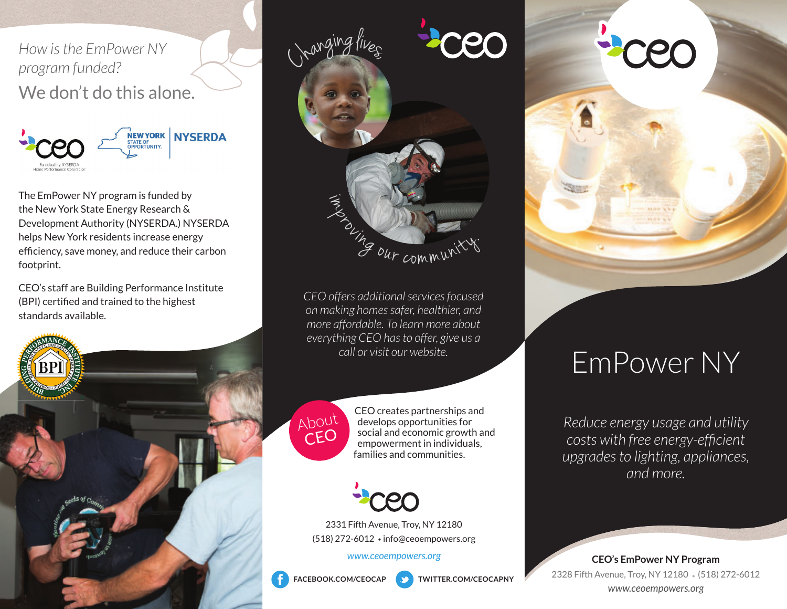*How is the EmPower NY program funded?* We don't do this alone.



The EmPower NY program is funded by the New York State Energy Research & Development Authority (NYSERDA.) NYSERDA helps New York residents increase energy efficiency, save money, and reduce their carbon footprint.

CEO's staff are Building Performance Institute (BPI) certified and trained to the highest standards available.



*CEO offers additional services focused on making homes safer, healthier, and more affordable. To learn more about everything CEO has to offer, give us a call or visit our website.*



About CEO creates partnerships and develops opportunities for social and economic growth and empowerment in individuals, families and communities.



2331 Fifth Avenue, Troy, NY 12180 (518) 272-6012 · info@ceoempowers.org

*www.ceoempowers.org*



**FACEBOOK.COM/CEOCAP**

**TWITTER.COM/CEOCAPNY**



# EmPower NY

*Reduce energy usage and utility costs with free energy-efficient upgrades to lighting, appliances, and more.*

**CEO's EmPower NY Program** 2328 Fifth Avenue, Troy, NY 12180 (518) 272-6012 *www.ceoempowers.org*